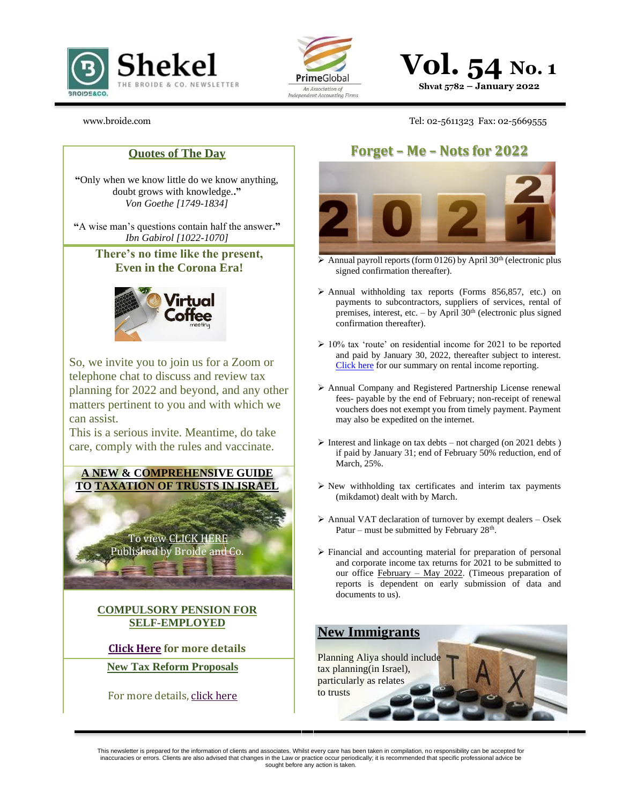



**Vol. 54 No. 1 Shvat 5782 – January 2022**

[www.broide.com](http://www.broide.com/) Tel: 02-5611323 Fax: 02-5669555

**"**Only when we know little do we know anything, doubt grows with knowledge.**."** *Von Goethe [1749-1834]*

**"**A wise man's questions contain half the answer**."** *Ibn Gabirol [1022-1070]*

> **There's no time like the present, Even in the Corona Era!**



So, we invite you to join us for a Zoom or telephone chat to discuss and review tax planning for 2022 and beyond, and any other matters pertinent to you and with which we can assist.

This is a serious invite. Meantime, do take care, comply with the rules and vaccinate.

**A NEW & COMPREHENSIVE GUIDE TO TAXATION OF TRUSTS IN ISRAEL**



**COMPULSORY PENSION FOR SELF-EMPLOYED**

**[Click Here](http://files8.webydo.com/93/9396695/UploadedFiles/4D6CB6BD-7AF2-B506-955C-9454E12AA7A6.jpg) for more details**

**New Tax Reform Proposals**

For more details[, click here](https://us17.campaign-archive.com/?e=%5bUNIQID%5d&u=33444dec28e67bc830883753a&id=d5248c03ae)

# **Quotes of The Day Forget – Me – Nots for 2022**



 $\triangleright$  Annual payroll reports (form 0126) by April 30<sup>th</sup> (electronic plus signed confirmation thereafter).

- ➢ Annual withholding tax reports (Forms 856,857, etc.) on payments to subcontractors, suppliers of services, rental of premises, interest, etc. – by April  $30<sup>th</sup>$  (electronic plus signed confirmation thereafter).
- ➢ 10% tax 'route' on residential income for 2021 to be reported and paid by January 30, 2022, thereafter subject to interest. [Click here](https://mailchi.mp/a3b205506a1e/reporting-on-2017-rental-income-5107740?e=%5bUNIQID%5d) for our summary on rental income reporting.
- ➢ Annual Company and Registered Partnership License renewal fees- payable by the end of February; non-receipt of renewal vouchers does not exempt you from timely payment. Payment may also be expedited on the internet.
- $\triangleright$  Interest and linkage on tax debts not charged (on 2021 debts) if paid by January 31; end of February 50% reduction, end of March, 25%.
- ➢ New withholding tax certificates and interim tax payments (mikdamot) dealt with by March.
- ➢ Annual VAT declaration of turnover by exempt dealers Osek Patur – must be submitted by February  $28<sup>th</sup>$ .
- ➢ Financial and accounting material for preparation of personal and corporate income tax returns for 2021 to be submitted to our office February – May 2022. (Timeous preparation of reports is dependent on early submission of data and documents to us).

## **New Immigrants**

Planning Aliya should include tax planning(in Israel), particularly as relates to trusts

This newsletter is prepared for the information of clients and associates. Whilst every care has been taken in compilation, no responsibility can be accepted for inaccuracies or errors. Clients are also advised that changes in the Law or practice occur periodically; it is recommended that specific professional advice be sought before any action is taken.